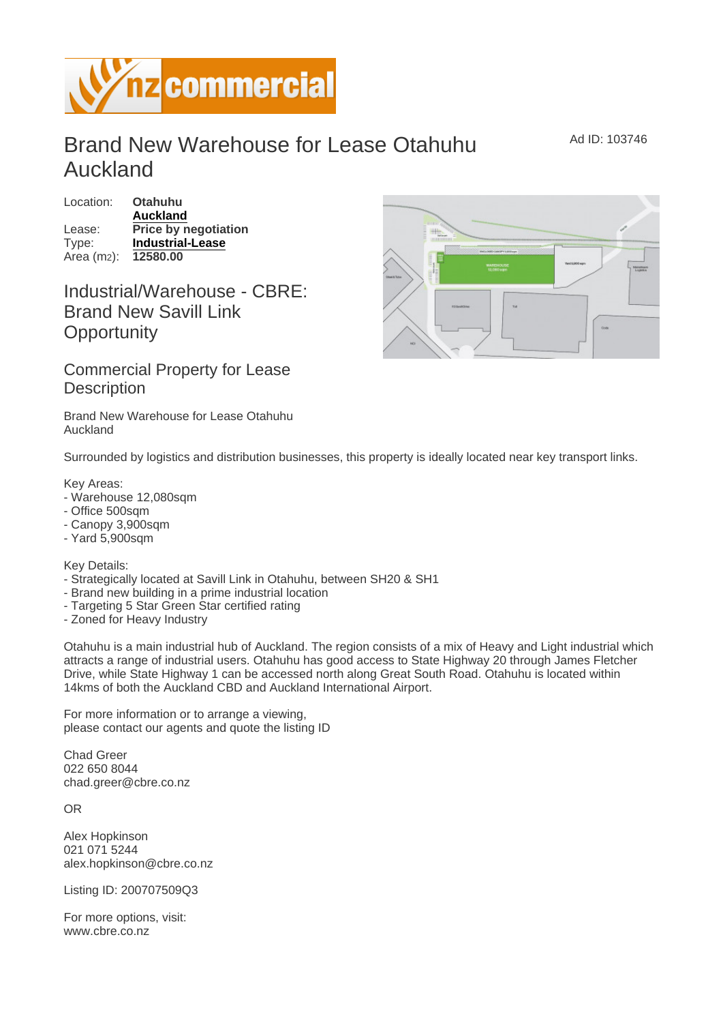## Brand New Warehouse for Lease Otahuhu Auckland

Ad ID: 103746

Location: Otahuhu [Auckland](https://www.nzcommercial.co.nz/commercial-property/location/Auckland) Lease: Price by negotiation Type: [Industrial-Lease](https://www.nzcommercial.co.nz/commercial-property/Industrial-Property-Lease/New-Zealand) Area (m2): 12580.00

## Industrial/Warehouse - CBRE: Brand New Savill Link **Opportunity**

Commercial Property for Lease **Description** 

Brand New Warehouse for Lease Otahuhu Auckland

Surrounded by logistics and distribution businesses, this property is ideally located near key transport links.

Key Areas:

- Warehouse 12,080sqm
- Office 500sqm
- Canopy 3,900sqm
- Yard 5,900sqm

Key Details:

- Strategically located at Savill Link in Otahuhu, between SH20 & SH1
- Brand new building in a prime industrial location
- Targeting 5 Star Green Star certified rating
- Zoned for Heavy Industry

Otahuhu is a main industrial hub of Auckland. The region consists of a mix of Heavy and Light industrial which attracts a range of industrial users. Otahuhu has good access to State Highway 20 through James Fletcher Drive, while State Highway 1 can be accessed north along Great South Road. Otahuhu is located within 14kms of both the Auckland CBD and Auckland International Airport.

For more information or to arrange a viewing, please contact our agents and quote the listing ID

Chad Greer 022 650 8044 chad.greer@cbre.co.nz

OR

Alex Hopkinson 021 071 5244 alex.hopkinson@cbre.co.nz

Listing ID: 200707509Q3

For more options, visit: www.cbre.co.nz